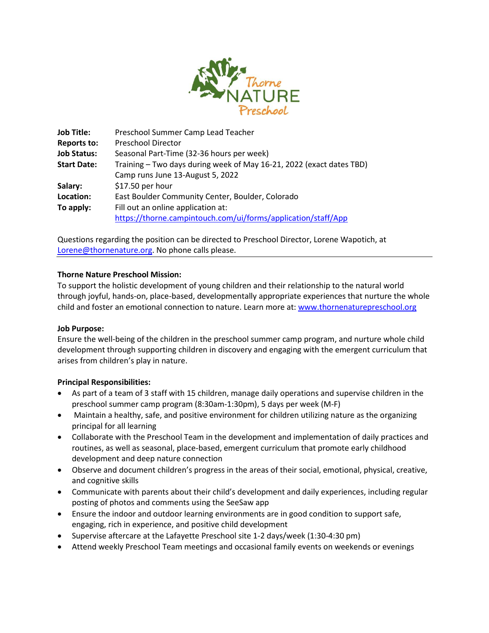

| <b>Job Title:</b>  | Preschool Summer Camp Lead Teacher                                   |
|--------------------|----------------------------------------------------------------------|
| <b>Reports to:</b> | <b>Preschool Director</b>                                            |
| <b>Job Status:</b> | Seasonal Part-Time (32-36 hours per week)                            |
| <b>Start Date:</b> | Training - Two days during week of May 16-21, 2022 (exact dates TBD) |
|                    | Camp runs June 13-August 5, 2022                                     |
| Salary:            | \$17.50 per hour                                                     |
| Location:          | East Boulder Community Center, Boulder, Colorado                     |
| To apply:          | Fill out an online application at:                                   |
|                    | https://thorne.campintouch.com/ui/forms/application/staff/App        |

Questions regarding the position can be directed to Preschool Director, Lorene Wapotich, at [Lorene@thornenature.org.](mailto:Lorene@thornenature.org) No phone calls please.

## **Thorne Nature Preschool Mission:**

To support the holistic development of young children and their relationship to the natural world through joyful, hands-on, place-based, developmentally appropriate experiences that nurture the whole child and foster an emotional connection to nature. Learn more at: [www.thornenaturepreschool.org](http://www.thornenaturepreschool.org/)

### **Job Purpose:**

Ensure the well-being of the children in the preschool summer camp program, and nurture whole child development through supporting children in discovery and engaging with the emergent curriculum that arises from children's play in nature.

### **Principal Responsibilities:**

- As part of a team of 3 staff with 15 children, manage daily operations and supervise children in the preschool summer camp program (8:30am-1:30pm), 5 days per week (M-F)
- Maintain a healthy, safe, and positive environment for children utilizing nature as the organizing principal for all learning
- Collaborate with the Preschool Team in the development and implementation of daily practices and routines, as well as seasonal, place-based, emergent curriculum that promote early childhood development and deep nature connection
- Observe and document children's progress in the areas of their social, emotional, physical, creative, and cognitive skills
- Communicate with parents about their child's development and daily experiences, including regular posting of photos and comments using the SeeSaw app
- Ensure the indoor and outdoor learning environments are in good condition to support safe, engaging, rich in experience, and positive child development
- Supervise aftercare at the Lafayette Preschool site 1-2 days/week (1:30-4:30 pm)
- Attend weekly Preschool Team meetings and occasional family events on weekends or evenings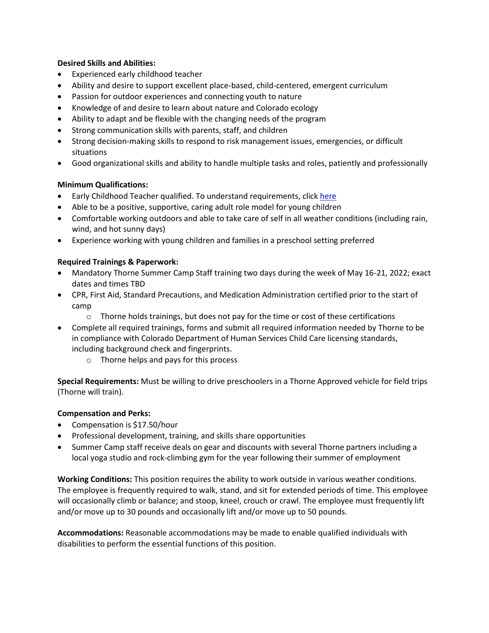## **Desired Skills and Abilities:**

- Experienced early childhood teacher
- Ability and desire to support excellent place-based, child-centered, emergent curriculum
- Passion for outdoor experiences and connecting youth to nature
- Knowledge of and desire to learn about nature and Colorado ecology
- Ability to adapt and be flexible with the changing needs of the program
- Strong communication skills with parents, staff, and children
- Strong decision-making skills to respond to risk management issues, emergencies, or difficult situations
- Good organizational skills and ability to handle multiple tasks and roles, patiently and professionally

# **Minimum Qualifications:**

- Early Childhood Teacher qualified. To understand requirements, clic[k here](https://dcfs.my.salesforce.com/sfc/p/#410000012srR/a/4N000000a9wT/9tW8EMbZrZMnUH3oQdsYMMZG.bj.x9kdaUMMNDZ5yMk)
- Able to be a positive, supportive, caring adult role model for young children
- Comfortable working outdoors and able to take care of self in all weather conditions (including rain, wind, and hot sunny days)
- Experience working with young children and families in a preschool setting preferred

# **Required Trainings & Paperwork:**

- Mandatory Thorne Summer Camp Staff training two days during the week of May 16-21, 2022; exact dates and times TBD
- CPR, First Aid, Standard Precautions, and Medication Administration certified prior to the start of camp
	- $\circ$  Thorne holds trainings, but does not pay for the time or cost of these certifications
- Complete all required trainings, forms and submit all required information needed by Thorne to be in compliance with Colorado Department of Human Services Child Care licensing standards, including background check and fingerprints.
	- o Thorne helps and pays for this process

**Special Requirements:** Must be willing to drive preschoolers in a Thorne Approved vehicle for field trips (Thorne will train).

## **Compensation and Perks:**

- Compensation is \$17.50/hour
- Professional development, training, and skills share opportunities
- Summer Camp staff receive deals on gear and discounts with several Thorne partners including a local yoga studio and rock-climbing gym for the year following their summer of employment

**Working Conditions:** This position requires the ability to work outside in various weather conditions. The employee is frequently required to walk, stand, and sit for extended periods of time. This employee will occasionally climb or balance; and stoop, kneel, crouch or crawl. The employee must frequently lift and/or move up to 30 pounds and occasionally lift and/or move up to 50 pounds.

**Accommodations:** Reasonable accommodations may be made to enable qualified individuals with disabilities to perform the essential functions of this position.